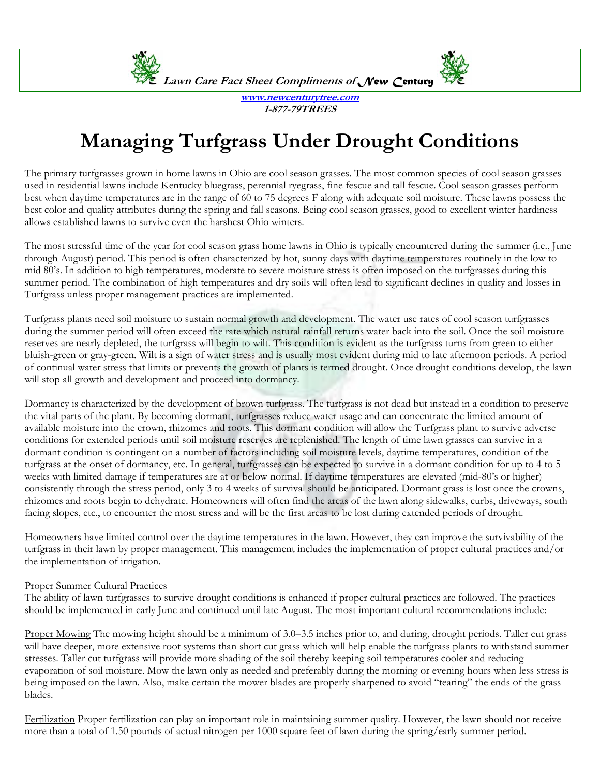

**www.newcenturytree.com 1-877-79TREES** 

## **Managing Turfgrass Under Drought Conditions**

The primary turfgrasses grown in home lawns in Ohio are cool season grasses. The most common species of cool season grasses used in residential lawns include Kentucky bluegrass, perennial ryegrass, fine fescue and tall fescue. Cool season grasses perform best when daytime temperatures are in the range of 60 to 75 degrees F along with adequate soil moisture. These lawns possess the best color and quality attributes during the spring and fall seasons. Being cool season grasses, good to excellent winter hardiness allows established lawns to survive even the harshest Ohio winters.

The most stressful time of the year for cool season grass home lawns in Ohio is typically encountered during the summer (i.e., June through August) period. This period is often characterized by hot, sunny days with daytime temperatures routinely in the low to mid 80's. In addition to high temperatures, moderate to severe moisture stress is often imposed on the turfgrasses during this summer period. The combination of high temperatures and dry soils will often lead to significant declines in quality and losses in Turfgrass unless proper management practices are implemented.

Turfgrass plants need soil moisture to sustain normal growth and development. The water use rates of cool season turfgrasses during the summer period will often exceed the rate which natural rainfall returns water back into the soil. Once the soil moisture reserves are nearly depleted, the turfgrass will begin to wilt. This condition is evident as the turfgrass turns from green to either bluish-green or gray-green. Wilt is a sign of water stress and is usually most evident during mid to late afternoon periods. A period of continual water stress that limits or prevents the growth of plants is termed drought. Once drought conditions develop, the lawn will stop all growth and development and proceed into dormancy.

Dormancy is characterized by the development of brown turfgrass. The turfgrass is not dead but instead in a condition to preserve the vital parts of the plant. By becoming dormant, turfgrasses reduce water usage and can concentrate the limited amount of available moisture into the crown, rhizomes and roots. This dormant condition will allow the Turfgrass plant to survive adverse conditions for extended periods until soil moisture reserves are replenished. The length of time lawn grasses can survive in a dormant condition is contingent on a number of factors including soil moisture levels, daytime temperatures, condition of the turfgrass at the onset of dormancy, etc. In general, turfgrasses can be expected to survive in a dormant condition for up to 4 to 5 weeks with limited damage if temperatures are at or below normal. If daytime temperatures are elevated (mid-80's or higher) consistently through the stress period, only 3 to 4 weeks of survival should be anticipated. Dormant grass is lost once the crowns, rhizomes and roots begin to dehydrate. Homeowners will often find the areas of the lawn along sidewalks, curbs, driveways, south facing slopes, etc., to encounter the most stress and will be the first areas to be lost during extended periods of drought.

Homeowners have limited control over the daytime temperatures in the lawn. However, they can improve the survivability of the turfgrass in their lawn by proper management. This management includes the implementation of proper cultural practices and/or the implementation of irrigation.

## Proper Summer Cultural Practices

The ability of lawn turfgrasses to survive drought conditions is enhanced if proper cultural practices are followed. The practices should be implemented in early June and continued until late August. The most important cultural recommendations include:

Proper Mowing The mowing height should be a minimum of 3.0–3.5 inches prior to, and during, drought periods. Taller cut grass will have deeper, more extensive root systems than short cut grass which will help enable the turfgrass plants to withstand summer stresses. Taller cut turfgrass will provide more shading of the soil thereby keeping soil temperatures cooler and reducing evaporation of soil moisture. Mow the lawn only as needed and preferably during the morning or evening hours when less stress is being imposed on the lawn. Also, make certain the mower blades are properly sharpened to avoid "tearing" the ends of the grass blades.

Fertilization Proper fertilization can play an important role in maintaining summer quality. However, the lawn should not receive more than a total of 1.50 pounds of actual nitrogen per 1000 square feet of lawn during the spring/early summer period.